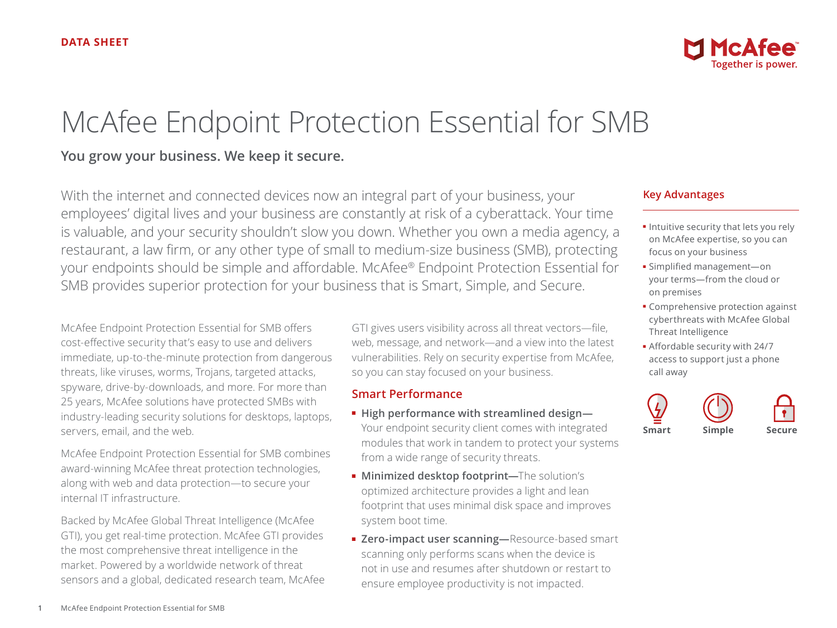# McAfee Endpoint Protection Essential for SMB

## **You grow your business. We keep it secure.**

With the internet and connected devices now an integral part of your business, your employees' digital lives and your business are constantly at risk of a cyberattack. Your time is valuable, and your security shouldn't slow you down. Whether you own a media agency, a restaurant, a law firm, or any other type of small to medium-size business (SMB), protecting your endpoints should be simple and affordable. McAfee® Endpoint Protection Essential for SMB provides superior protection for your business that is Smart, Simple, and Secure.

McAfee Endpoint Protection Essential for SMB offers cost-effective security that's easy to use and delivers immediate, up-to-the-minute protection from dangerous threats, like viruses, worms, Trojans, targeted attacks, spyware, drive-by-downloads, and more. For more than 25 years, McAfee solutions have protected SMBs with industry-leading security solutions for desktops, laptops, servers, email, and the web.

McAfee Endpoint Protection Essential for SMB combines award-winning McAfee threat protection technologies, along with web and data protection—to secure your internal IT infrastructure.

Backed by McAfee Global Threat Intelligence (McAfee GTI), you get real-time protection. McAfee GTI provides the most comprehensive threat intelligence in the market. Powered by a worldwide network of threat sensors and a global, dedicated research team, McAfee GTI gives users visibility across all threat vectors—file, web, message, and network—and a view into the latest vulnerabilities. Rely on security expertise from McAfee, so you can stay focused on your business.

## **Smart Performance**

- **High performance with streamlined design—** Your endpoint security client comes with integrated modules that work in tandem to protect your systems from a wide range of security threats.
- **Minimized desktop footprint—**The solution's optimized architecture provides a light and lean footprint that uses minimal disk space and improves system boot time.
- Zero-impact user scanning-Resource-based smart scanning only performs scans when the device is not in use and resumes after shutdown or restart to ensure employee productivity is not impacted.

## **Key Advantages**

- Intuitive security that lets you rely on McAfee expertise, so you can focus on your business
- Simplified management—on your terms—from the cloud or on premises
- Comprehensive protection against cyberthreats with McAfee Global Threat Intelligence
- Affordable security with 24/7 access to support just a phone call away

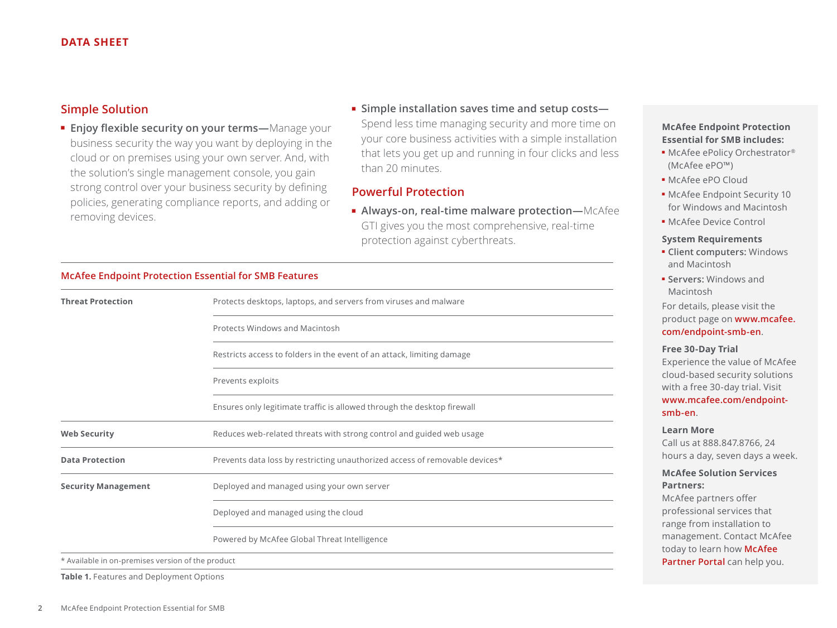### **Simple Solution**

- **Enjoy flexible security on your terms—**Manage your business security the way you want by deploying in the cloud or on premises using your own server. And, with the solution's single management console, you gain strong control over your business security by defining policies, generating compliance reports, and adding or removing devices.
- **Simple installation saves time and setup costs—** Spend less time managing security and more time on your core business activities with a simple installation that lets you get up and running in four clicks and less than 20 minutes.

## **Powerful Protection**

■ **Always-on, real-time malware protection—**McAfee GTI gives you the most comprehensive, real-time protection against cyberthreats.

#### **McAfee Endpoint Protection Essential for SMB Features**

| <b>Threat Protection</b>                          | Protects desktops, laptops, and servers from viruses and malware            |
|---------------------------------------------------|-----------------------------------------------------------------------------|
|                                                   | Protects Windows and Macintosh                                              |
|                                                   | Restricts access to folders in the event of an attack, limiting damage      |
|                                                   | Prevents exploits                                                           |
|                                                   | Ensures only legitimate traffic is allowed through the desktop firewall     |
| <b>Web Security</b>                               | Reduces web-related threats with strong control and guided web usage        |
| <b>Data Protection</b>                            | Prevents data loss by restricting unauthorized access of removable devices* |
| <b>Security Management</b>                        | Deployed and managed using your own server                                  |
|                                                   | Deployed and managed using the cloud                                        |
|                                                   | Powered by McAfee Global Threat Intelligence                                |
| * Available in on-premises version of the product |                                                                             |

**Table 1.** Features and Deployment Options

## **McAfee Endpoint Protection Essential for SMB includes:**

- McAfee ePolicy Orchestrator® (McAfee ePO™)
- McAfee ePO Cloud
- McAfee Endpoint Security 10 for Windows and Macintosh
- McAfee Device Control

#### **System Requirements**

- **Client computers:** Windows and Macintosh
- **Servers:** Windows and Macintosh

For details, please visit the product page on **[www.mcafee.](www.mcafee.com/endpoint-smb-en) [com/endpoint-smb-en](www.mcafee.com/endpoint-smb-en)**.

#### **Free 30-Day Trial**

Experience the value of McAfee cloud-based security solutions with a free 30-day trial. Visit **[www.mcafee.com/endpoint](www.mcafee.com/endpoint-smb-en)[smb-en](www.mcafee.com/endpoint-smb-en)**.

#### **Learn More**

Call us at 888.847.8766, 24 hours a day, seven days a week.

#### **McAfee Solution Services Partners:**

McAfee partners offer professional services that range from installation to management. Contact McAfee today to learn how **[McAfee](http://www.mcafee.com/us/partners)  [Partner Portal](http://www.mcafee.com/us/partners)** can help you.